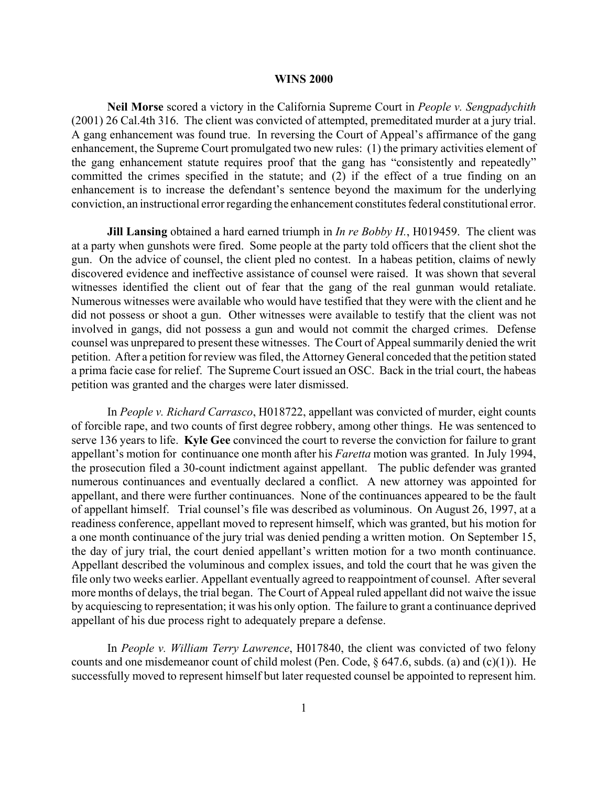## **WINS 2000**

**Neil Morse** scored a victory in the California Supreme Court in *People v. Sengpadychith* (2001) 26 Cal.4th 316. The client was convicted of attempted, premeditated murder at a jury trial. A gang enhancement was found true. In reversing the Court of Appeal's affirmance of the gang enhancement, the Supreme Court promulgated two new rules: (1) the primary activities element of the gang enhancement statute requires proof that the gang has "consistently and repeatedly" committed the crimes specified in the statute; and (2) if the effect of a true finding on an enhancement is to increase the defendant's sentence beyond the maximum for the underlying conviction, an instructional error regarding the enhancement constitutes federal constitutional error.

**Jill Lansing** obtained a hard earned triumph in *In re Bobby H.*, H019459. The client was at a party when gunshots were fired. Some people at the party told officers that the client shot the gun. On the advice of counsel, the client pled no contest. In a habeas petition, claims of newly discovered evidence and ineffective assistance of counsel were raised. It was shown that several witnesses identified the client out of fear that the gang of the real gunman would retaliate. Numerous witnesses were available who would have testified that they were with the client and he did not possess or shoot a gun. Other witnesses were available to testify that the client was not involved in gangs, did not possess a gun and would not commit the charged crimes. Defense counsel was unprepared to present these witnesses. The Court of Appeal summarily denied the writ petition. After a petition for review was filed, the Attorney General conceded that the petition stated a prima facie case for relief. The Supreme Court issued an OSC. Back in the trial court, the habeas petition was granted and the charges were later dismissed.

In *People v. Richard Carrasco*, H018722, appellant was convicted of murder, eight counts of forcible rape, and two counts of first degree robbery, among other things. He was sentenced to serve 136 years to life. **Kyle Gee** convinced the court to reverse the conviction for failure to grant appellant's motion for continuance one month after his *Faretta* motion was granted. In July 1994, the prosecution filed a 30-count indictment against appellant. The public defender was granted numerous continuances and eventually declared a conflict. A new attorney was appointed for appellant, and there were further continuances. None of the continuances appeared to be the fault of appellant himself. Trial counsel's file was described as voluminous. On August 26, 1997, at a readiness conference, appellant moved to represent himself, which was granted, but his motion for a one month continuance of the jury trial was denied pending a written motion. On September 15, the day of jury trial, the court denied appellant's written motion for a two month continuance. Appellant described the voluminous and complex issues, and told the court that he was given the file only two weeks earlier. Appellant eventually agreed to reappointment of counsel. After several more months of delays, the trial began. The Court of Appeal ruled appellant did not waive the issue by acquiescing to representation; it was his only option. The failure to grant a continuance deprived appellant of his due process right to adequately prepare a defense.

In *People v. William Terry Lawrence*, H017840, the client was convicted of two felony counts and one misdemeanor count of child molest (Pen. Code, § 647.6, subds. (a) and (c)(1)). He successfully moved to represent himself but later requested counsel be appointed to represent him.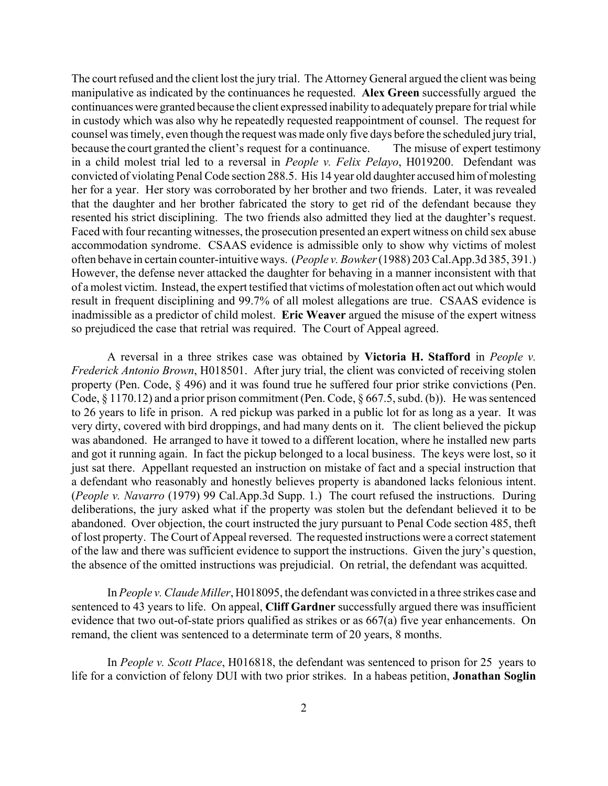The court refused and the client lost the jury trial. The Attorney General argued the client was being manipulative as indicated by the continuances he requested. **Alex Green** successfully argued the continuances were granted because the client expressed inability to adequately prepare for trial while in custody which was also why he repeatedly requested reappointment of counsel. The request for counsel was timely, even though the request was made only five days before the scheduled jury trial, because the court granted the client's request for a continuance. The misuse of expert testimony in a child molest trial led to a reversal in *People v. Felix Pelayo*, H019200. Defendant was convicted of violating Penal Code section 288.5. His 14 year old daughter accused him of molesting her for a year. Her story was corroborated by her brother and two friends. Later, it was revealed that the daughter and her brother fabricated the story to get rid of the defendant because they resented his strict disciplining. The two friends also admitted they lied at the daughter's request. Faced with four recanting witnesses, the prosecution presented an expert witness on child sex abuse accommodation syndrome. CSAAS evidence is admissible only to show why victims of molest often behave in certain counter-intuitive ways. (*People v. Bowker* (1988) 203 Cal.App.3d 385, 391.) However, the defense never attacked the daughter for behaving in a manner inconsistent with that of a molest victim. Instead, the expert testified that victims of molestation often act out which would result in frequent disciplining and 99.7% of all molest allegations are true. CSAAS evidence is inadmissible as a predictor of child molest. **Eric Weaver** argued the misuse of the expert witness so prejudiced the case that retrial was required. The Court of Appeal agreed.

A reversal in a three strikes case was obtained by **Victoria H. Stafford** in *People v. Frederick Antonio Brown*, H018501. After jury trial, the client was convicted of receiving stolen property (Pen. Code, § 496) and it was found true he suffered four prior strike convictions (Pen. Code, § 1170.12) and a prior prison commitment (Pen. Code, § 667.5, subd. (b)). He was sentenced to 26 years to life in prison. A red pickup was parked in a public lot for as long as a year. It was very dirty, covered with bird droppings, and had many dents on it. The client believed the pickup was abandoned. He arranged to have it towed to a different location, where he installed new parts and got it running again. In fact the pickup belonged to a local business. The keys were lost, so it just sat there. Appellant requested an instruction on mistake of fact and a special instruction that a defendant who reasonably and honestly believes property is abandoned lacks felonious intent. (*People v. Navarro* (1979) 99 Cal.App.3d Supp. 1.) The court refused the instructions. During deliberations, the jury asked what if the property was stolen but the defendant believed it to be abandoned. Over objection, the court instructed the jury pursuant to Penal Code section 485, theft of lost property. The Court of Appeal reversed. The requested instructions were a correct statement of the law and there was sufficient evidence to support the instructions. Given the jury's question, the absence of the omitted instructions was prejudicial. On retrial, the defendant was acquitted.

In *People v. Claude Miller*, H018095, the defendant was convicted in a three strikes case and sentenced to 43 years to life. On appeal, **Cliff Gardner** successfully argued there was insufficient evidence that two out-of-state priors qualified as strikes or as 667(a) five year enhancements. On remand, the client was sentenced to a determinate term of 20 years, 8 months.

In *People v. Scott Place*, H016818, the defendant was sentenced to prison for 25 years to life for a conviction of felony DUI with two prior strikes. In a habeas petition, **Jonathan Soglin**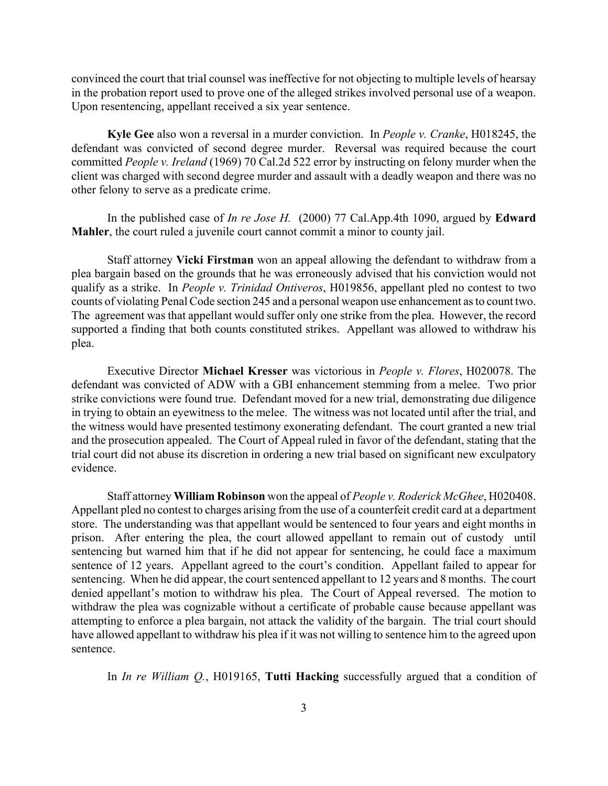convinced the court that trial counsel was ineffective for not objecting to multiple levels of hearsay in the probation report used to prove one of the alleged strikes involved personal use of a weapon. Upon resentencing, appellant received a six year sentence.

**Kyle Gee** also won a reversal in a murder conviction. In *People v. Cranke*, H018245, the defendant was convicted of second degree murder. Reversal was required because the court committed *People v. Ireland* (1969) 70 Cal.2d 522 error by instructing on felony murder when the client was charged with second degree murder and assault with a deadly weapon and there was no other felony to serve as a predicate crime.

In the published case of *In re Jose H.* (2000) 77 Cal.App.4th 1090, argued by **Edward Mahler**, the court ruled a juvenile court cannot commit a minor to county jail.

Staff attorney **Vicki Firstman** won an appeal allowing the defendant to withdraw from a plea bargain based on the grounds that he was erroneously advised that his conviction would not qualify as a strike. In *People v. Trinidad Ontiveros*, H019856, appellant pled no contest to two counts of violating Penal Code section 245 and a personal weapon use enhancement as to count two. The agreement was that appellant would suffer only one strike from the plea. However, the record supported a finding that both counts constituted strikes. Appellant was allowed to withdraw his plea.

Executive Director **Michael Kresser** was victorious in *People v. Flores*, H020078. The defendant was convicted of ADW with a GBI enhancement stemming from a melee. Two prior strike convictions were found true. Defendant moved for a new trial, demonstrating due diligence in trying to obtain an eyewitness to the melee. The witness was not located until after the trial, and the witness would have presented testimony exonerating defendant. The court granted a new trial and the prosecution appealed. The Court of Appeal ruled in favor of the defendant, stating that the trial court did not abuse its discretion in ordering a new trial based on significant new exculpatory evidence.

Staff attorney **William Robinson** won the appeal of *People v. Roderick McGhee*, H020408. Appellant pled no contest to charges arising from the use of a counterfeit credit card at a department store. The understanding was that appellant would be sentenced to four years and eight months in prison. After entering the plea, the court allowed appellant to remain out of custody until sentencing but warned him that if he did not appear for sentencing, he could face a maximum sentence of 12 years. Appellant agreed to the court's condition. Appellant failed to appear for sentencing. When he did appear, the court sentenced appellant to 12 years and 8 months. The court denied appellant's motion to withdraw his plea. The Court of Appeal reversed. The motion to withdraw the plea was cognizable without a certificate of probable cause because appellant was attempting to enforce a plea bargain, not attack the validity of the bargain. The trial court should have allowed appellant to withdraw his plea if it was not willing to sentence him to the agreed upon sentence.

In *In re William Q.*, H019165, **Tutti Hacking** successfully argued that a condition of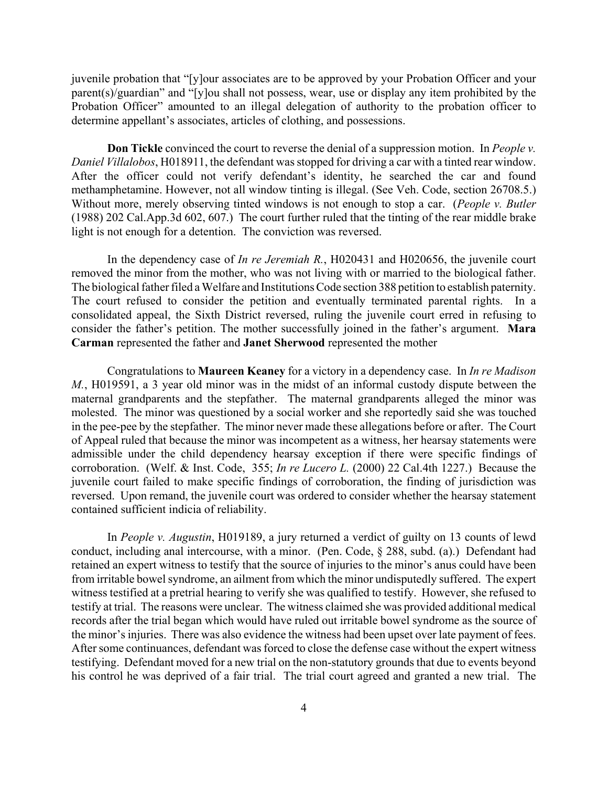juvenile probation that "[y]our associates are to be approved by your Probation Officer and your parent(s)/guardian" and "[y]ou shall not possess, wear, use or display any item prohibited by the Probation Officer" amounted to an illegal delegation of authority to the probation officer to determine appellant's associates, articles of clothing, and possessions.

**Don Tickle** convinced the court to reverse the denial of a suppression motion. In *People v. Daniel Villalobos*, H018911, the defendant was stopped for driving a car with a tinted rear window. After the officer could not verify defendant's identity, he searched the car and found methamphetamine. However, not all window tinting is illegal. (See Veh. Code, section 26708.5.) Without more, merely observing tinted windows is not enough to stop a car. (*People v. Butler* (1988) 202 Cal.App.3d 602, 607.) The court further ruled that the tinting of the rear middle brake light is not enough for a detention. The conviction was reversed.

In the dependency case of *In re Jeremiah R.*, H020431 and H020656, the juvenile court removed the minor from the mother, who was not living with or married to the biological father. The biological father filed a Welfare and Institutions Code section 388 petition to establish paternity. The court refused to consider the petition and eventually terminated parental rights. In a consolidated appeal, the Sixth District reversed, ruling the juvenile court erred in refusing to consider the father's petition. The mother successfully joined in the father's argument. **Mara Carman** represented the father and **Janet Sherwood** represented the mother

Congratulations to **Maureen Keaney** for a victory in a dependency case. In *In re Madison M.*, H019591, a 3 year old minor was in the midst of an informal custody dispute between the maternal grandparents and the stepfather. The maternal grandparents alleged the minor was molested. The minor was questioned by a social worker and she reportedly said she was touched in the pee-pee by the stepfather. The minor never made these allegations before or after. The Court of Appeal ruled that because the minor was incompetent as a witness, her hearsay statements were admissible under the child dependency hearsay exception if there were specific findings of corroboration. (Welf. & Inst. Code, 355; *In re Lucero L.* (2000) 22 Cal.4th 1227.) Because the juvenile court failed to make specific findings of corroboration, the finding of jurisdiction was reversed. Upon remand, the juvenile court was ordered to consider whether the hearsay statement contained sufficient indicia of reliability.

In *People v. Augustin*, H019189, a jury returned a verdict of guilty on 13 counts of lewd conduct, including anal intercourse, with a minor. (Pen. Code, § 288, subd. (a).) Defendant had retained an expert witness to testify that the source of injuries to the minor's anus could have been from irritable bowel syndrome, an ailment from which the minor undisputedly suffered. The expert witness testified at a pretrial hearing to verify she was qualified to testify. However, she refused to testify at trial. The reasons were unclear. The witness claimed she was provided additional medical records after the trial began which would have ruled out irritable bowel syndrome as the source of the minor's injuries. There was also evidence the witness had been upset over late payment of fees. After some continuances, defendant was forced to close the defense case without the expert witness testifying. Defendant moved for a new trial on the non-statutory grounds that due to events beyond his control he was deprived of a fair trial. The trial court agreed and granted a new trial. The